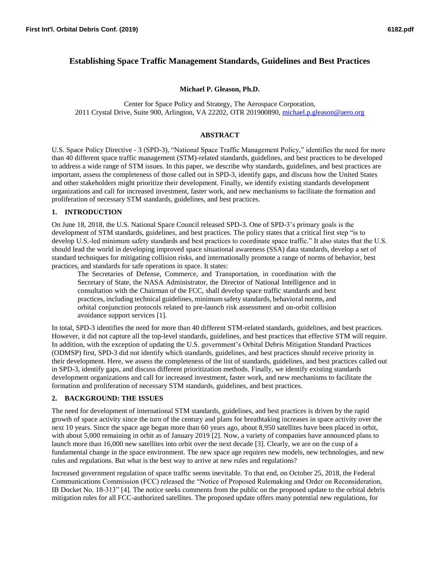# **Establishing Space Traffic Management Standards, Guidelines and Best Practices**

#### **Michael P. Gleason, Ph.D.**

Center for Space Policy and Strategy, The Aerospace Corporation, 2011 Crystal Drive, Suite 900, Arlington, VA 22202, OTR 201900890, [michael.p.gleason@aero.org](mailto:michael.p.gleason@aero.org)

#### **ABSTRACT**

U.S. Space Policy Directive - 3 (SPD-3), "National Space Traffic Management Policy," identifies the need for more than 40 different space traffic management (STM)-related standards, guidelines, and best practices to be developed to address a wide range of STM issues. In this paper, we describe why standards, guidelines, and best practices are important, assess the completeness of those called out in SPD-3, identify gaps, and discuss how the United States and other stakeholders might prioritize their development. Finally, we identify existing standards development organizations and call for increased investment, faster work, and new mechanisms to facilitate the formation and proliferation of necessary STM standards, guidelines, and best practices.

#### **1. INTRODUCTION**

On June 18, 2018, the U.S. National Space Council released SPD-3. One of SPD-3's primary goals is the development of STM standards, guidelines, and best practices. The policy states that a critical first step "is to develop U.S.-led minimum safety standards and best practices to coordinate space traffic." It also states that the U.S. should lead the world in developing improved space situational awareness (SSA) data standards, develop a set of standard techniques for mitigating collision risks, and internationally promote a range of norms of behavior, best practices, and standards for safe operations in space. It states:

The Secretaries of Defense, Commerce, and Transportation, in coordination with the Secretary of State, the NASA Administrator, the Director of National Intelligence and in consultation with the Chairman of the FCC, shall develop space traffic standards and best practices, including technical guidelines, minimum safety standards, behavioral norms, and orbital conjunction protocols related to pre-launch risk assessment and on-orbit collision avoidance support services [1].

In total, SPD-3 identifies the need for more than 40 different STM-related standards, guidelines, and best practices. However, it did not capture all the top-level standards, guidelines, and best practices that effective STM will require. In addition, with the exception of updating the U.S. government's Orbital Debris Mitigation Standard Practices (ODMSP) first, SPD-3 did not identify which standards, guidelines, and best practices should receive priority in their development. Here, we assess the completeness of the list of standards, guidelines, and best practices called out in SPD-3, identify gaps, and discuss different prioritization methods. Finally, we identify existing standards development organizations and call for increased investment, faster work, and new mechanisms to facilitate the formation and proliferation of necessary STM standards, guidelines, and best practices.

### **2. BACKGROUND: THE ISSUES**

The need for development of international STM standards, guidelines, and best practices is driven by the rapid growth of space activity since the turn of the century and plans for breathtaking increases in space activity over the next 10 years. Since the space age began more than 60 years ago, about 8,950 satellites have been placed in orbit, with about 5,000 remaining in orbit as of January 2019 [2]. Now, a variety of companies have announced plans to launch more than 16,000 new satellites into orbit over the next decade [3]. Clearly, we are on the cusp of a fundamental change in the space environment. The new space age requires new models, new technologies, and new rules and regulations. But what is the best way to arrive at new rules and regulations?

Increased government regulation of space traffic seems inevitable. To that end, on October 25, 2018, the Federal Communications Commission (FCC) released the "Notice of Proposed Rulemaking and Order on Reconsideration, IB Docket No. 18-313" [4]. The notice seeks comments from the public on the proposed update to the orbital debris mitigation rules for all FCC-authorized satellites. The proposed update offers many potential new regulations, for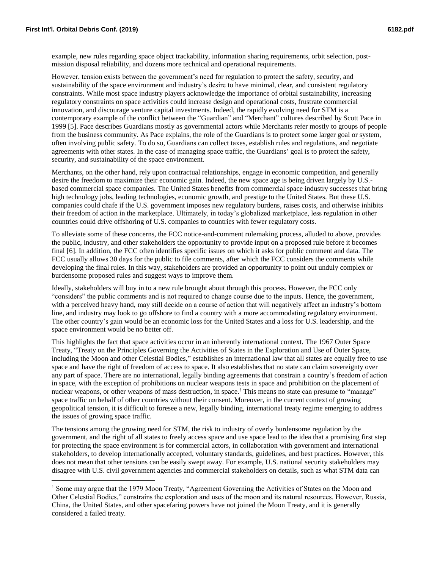$\overline{a}$ 

example, new rules regarding space object trackability, information sharing requirements, orbit selection, postmission disposal reliability, and dozens more technical and operational requirements.

However, tension exists between the government's need for regulation to protect the safety, security, and sustainability of the space environment and industry's desire to have minimal, clear, and consistent regulatory constraints. While most space industry players acknowledge the importance of orbital sustainability, increasing regulatory constraints on space activities could increase design and operational costs, frustrate commercial innovation, and discourage venture capital investments. Indeed, the rapidly evolving need for STM is a contemporary example of the conflict between the "Guardian" and "Merchant" cultures described by Scott Pace in 1999 [5]. Pace describes Guardians mostly as governmental actors while Merchants refer mostly to groups of people from the business community. As Pace explains, the role of the Guardians is to protect some larger goal or system, often involving public safety. To do so, Guardians can collect taxes, establish rules and regulations, and negotiate agreements with other states. In the case of managing space traffic, the Guardians' goal is to protect the safety, security, and sustainability of the space environment.

Merchants, on the other hand, rely upon contractual relationships, engage in economic competition, and generally desire the freedom to maximize their economic gain. Indeed, the new space age is being driven largely by U.S. based commercial space companies. The United States benefits from commercial space industry successes that bring high technology jobs, leading technologies, economic growth, and prestige to the United States. But these U.S. companies could chafe if the U.S. government imposes new regulatory burdens, raises costs, and otherwise inhibits their freedom of action in the marketplace. Ultimately, in today's globalized marketplace, less regulation in other countries could drive offshoring of U.S. companies to countries with fewer regulatory costs.

To alleviate some of these concerns, the FCC notice-and-comment rulemaking process, alluded to above, provides the public, industry, and other stakeholders the opportunity to provide input on a proposed rule before it becomes final [6]. In addition, the FCC often identifies specific issues on which it asks for public comment and data. The FCC usually allows 30 days for the public to file comments, after which the FCC considers the comments while developing the final rules. In this way, stakeholders are provided an opportunity to point out unduly complex or burdensome proposed rules and suggest ways to improve them.

Ideally, stakeholders will buy in to a new rule brought about through this process. However, the FCC only "considers" the public comments and is not required to change course due to the inputs. Hence, the government, with a perceived heavy hand, may still decide on a course of action that will negatively affect an industry's bottom line, and industry may look to go offshore to find a country with a more accommodating regulatory environment. The other country's gain would be an economic loss for the United States and a loss for U.S. leadership, and the space environment would be no better off.

This highlights the fact that space activities occur in an inherently international context. The 1967 Outer Space Treaty, "Treaty on the Principles Governing the Activities of States in the Exploration and Use of Outer Space, including the Moon and other Celestial Bodies," establishes an international law that all states are equally free to use space and have the right of freedom of access to space. It also establishes that no state can claim sovereignty over any part of space. There are no international, legally binding agreements that constrain a country's freedom of action in space, with the exception of prohibitions on nuclear weapons tests in space and prohibition on the placement of nuclear weapons, or other weapons of mass destruction, in space.† This means no state can presume to "manage" space traffic on behalf of other countries without their consent. Moreover, in the current context of growing geopolitical tension, it is difficult to foresee a new, legally binding, international treaty regime emerging to address the issues of growing space traffic.

The tensions among the growing need for STM, the risk to industry of overly burdensome regulation by the government, and the right of all states to freely access space and use space lead to the idea that a promising first step for protecting the space environment is for commercial actors, in collaboration with government and international stakeholders, to develop internationally accepted, voluntary standards, guidelines, and best practices. However, this does not mean that other tensions can be easily swept away. For example, U.S. national security stakeholders may disagree with U.S. civil government agencies and commercial stakeholders on details, such as what STM data can

<sup>†</sup> Some may argue that the 1979 Moon Treaty, "Agreement Governing the Activities of States on the Moon and Other Celestial Bodies," constrains the exploration and uses of the moon and its natural resources. However, Russia, China, the United States, and other spacefaring powers have not joined the Moon Treaty, and it is generally considered a failed treaty.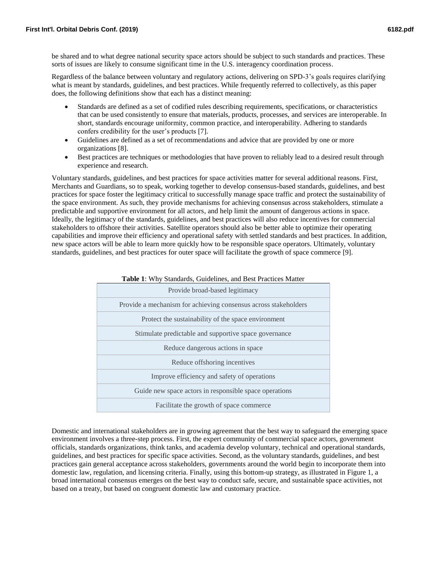be shared and to what degree national security space actors should be subject to such standards and practices. These sorts of issues are likely to consume significant time in the U.S. interagency coordination process.

Regardless of the balance between voluntary and regulatory actions, delivering on SPD-3's goals requires clarifying what is meant by standards, guidelines, and best practices. While frequently referred to collectively, as this paper does, the following definitions show that each has a distinct meaning:

- Standards are defined as a set of codified rules describing requirements, specifications, or characteristics that can be used consistently to ensure that materials, products, processes, and services are interoperable. In short, standards encourage uniformity, common practice, and interoperability. Adhering to standards confers credibility for the user's products [7].
- Guidelines are defined as a set of recommendations and advice that are provided by one or more organizations [8].
- Best practices are techniques or methodologies that have proven to reliably lead to a desired result through experience and research.

Voluntary standards, guidelines, and best practices for space activities matter for several additional reasons. First, Merchants and Guardians, so to speak, working together to develop consensus-based standards, guidelines, and best practices for space foster the legitimacy critical to successfully manage space traffic and protect the sustainability of the space environment. As such, they provide mechanisms for achieving consensus across stakeholders, stimulate a predictable and supportive environment for all actors, and help limit the amount of dangerous actions in space. Ideally, the legitimacy of the standards, guidelines, and best practices will also reduce incentives for commercial stakeholders to offshore their activities. Satellite operators should also be better able to optimize their operating capabilities and improve their efficiency and operational safety with settled standards and best practices. In addition, new space actors will be able to learn more quickly how to be responsible space operators. Ultimately, voluntary standards, guidelines, and best practices for outer space will facilitate the growth of space commerce [9].

| Provide broad-based legitimacy                                  |
|-----------------------------------------------------------------|
| Provide a mechanism for achieving consensus across stakeholders |
| Protect the sustainability of the space environment             |
| Stimulate predictable and supportive space governance           |
| Reduce dangerous actions in space                               |
| Reduce offshoring incentives                                    |
| Improve efficiency and safety of operations                     |
| Guide new space actors in responsible space operations          |
| Facilitate the growth of space commerce                         |

#### **Table 1**: Why Standards, Guidelines, and Best Practices Matter

Domestic and international stakeholders are in growing agreement that the best way to safeguard the emerging space environment involves a three-step process. First, the expert community of commercial space actors, government officials, standards organizations, think tanks, and academia develop voluntary, technical and operational standards, guidelines, and best practices for specific space activities. Second, as the voluntary standards, guidelines, and best practices gain general acceptance across stakeholders, governments around the world begin to incorporate them into domestic law, regulation, and licensing criteria. Finally, using this bottom-up strategy, as illustrated in Figure 1, a broad international consensus emerges on the best way to conduct safe, secure, and sustainable space activities, not based on a treaty, but based on congruent domestic law and customary practice.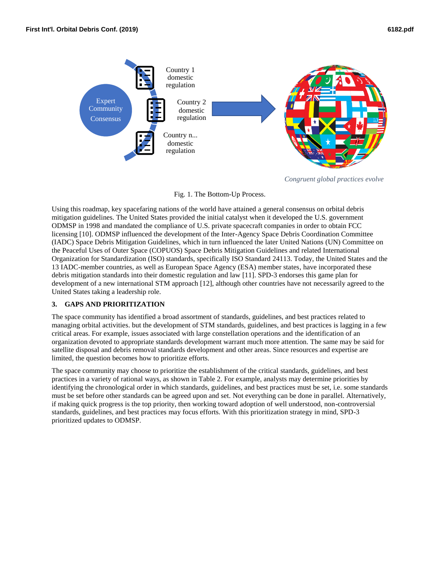

*Congruent global practices evolve*

#### Fig. 1. The Bottom-Up Process.

Using this roadmap, key spacefaring nations of the world have attained a general consensus on orbital debris mitigation guidelines. The United States provided the initial catalyst when it developed the U.S. government ODMSP in 1998 and mandated the compliance of U.S. private spacecraft companies in order to obtain FCC licensing [10]. ODMSP influenced the development of the Inter-Agency Space Debris Coordination Committee (IADC) Space Debris Mitigation Guidelines, which in turn influenced the later United Nations (UN) Committee on the Peaceful Uses of Outer Space (COPUOS) Space Debris Mitigation Guidelines and related International Organization for Standardization (ISO) standards, specifically ISO Standard 24113. Today, the United States and the 13 IADC-member countries, as well as European Space Agency (ESA) member states, have incorporated these debris mitigation standards into their domestic regulation and law [11]. SPD-3 endorses this game plan for development of a new international STM approach [12], although other countries have not necessarily agreed to the United States taking a leadership role.

### **3. GAPS AND PRIORITIZATION**

The space community has identified a broad assortment of standards, guidelines, and best practices related to managing orbital activities. but the development of STM standards, guidelines, and best practices is lagging in a few critical areas. For example, issues associated with large constellation operations and the identification of an organization devoted to appropriate standards development warrant much more attention. The same may be said for satellite disposal and debris removal standards development and other areas. Since resources and expertise are limited, the question becomes how to prioritize efforts.

The space community may choose to prioritize the establishment of the critical standards, guidelines, and best practices in a variety of rational ways, as shown in Table 2. For example, analysts may determine priorities by identifying the chronological order in which standards, guidelines, and best practices must be set, i.e. some standards must be set before other standards can be agreed upon and set. Not everything can be done in parallel. Alternatively, if making quick progress is the top priority, then working toward adoption of well understood, non-controversial standards, guidelines, and best practices may focus efforts. With this prioritization strategy in mind, SPD-3 prioritized updates to ODMSP.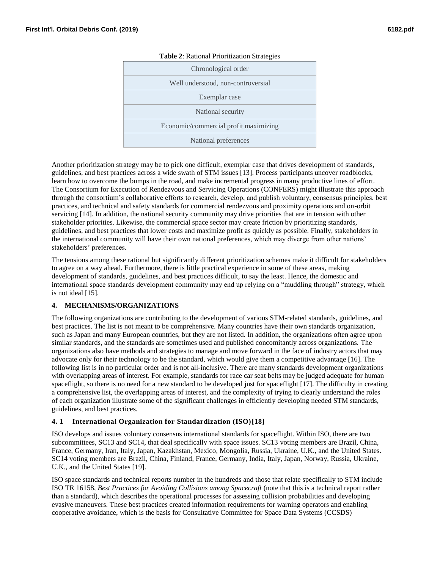| Chronological order<br>Well understood, non-controversial<br>Exemplar case<br>National security<br>Economic/commercial profit maximizing<br>National preferences | <b>Table 2:</b> Rational Prioritization Strategies |
|------------------------------------------------------------------------------------------------------------------------------------------------------------------|----------------------------------------------------|
|                                                                                                                                                                  |                                                    |
|                                                                                                                                                                  |                                                    |
|                                                                                                                                                                  |                                                    |
|                                                                                                                                                                  |                                                    |
|                                                                                                                                                                  |                                                    |
|                                                                                                                                                                  |                                                    |

### **Table 2**: Rational Prioritization Strategies

Another prioritization strategy may be to pick one difficult, exemplar case that drives development of standards, guidelines, and best practices across a wide swath of STM issues [13]. Process participants uncover roadblocks, learn how to overcome the bumps in the road, and make incremental progress in many productive lines of effort. The Consortium for Execution of Rendezvous and Servicing Operations (CONFERS) might illustrate this approach through the consortium's collaborative efforts to research, develop, and publish voluntary, consensus principles, best practices, and technical and safety standards for commercial rendezvous and proximity operations and on-orbit servicing [14]. In addition, the national security community may drive priorities that are in tension with other stakeholder priorities. Likewise, the commercial space sector may create friction by prioritizing standards, guidelines, and best practices that lower costs and maximize profit as quickly as possible. Finally, stakeholders in the international community will have their own national preferences, which may diverge from other nations' stakeholders' preferences.

The tensions among these rational but significantly different prioritization schemes make it difficult for stakeholders to agree on a way ahead. Furthermore, there is little practical experience in some of these areas, making development of standards, guidelines, and best practices difficult, to say the least. Hence, the domestic and international space standards development community may end up relying on a "muddling through" strategy, which is not ideal [15].

## **4. MECHANISMS/ORGANIZATIONS**

The following organizations are contributing to the development of various STM-related standards, guidelines, and best practices. The list is not meant to be comprehensive. Many countries have their own standards organization, such as Japan and many European countries, but they are not listed. In addition, the organizations often agree upon similar standards, and the standards are sometimes used and published concomitantly across organizations. The organizations also have methods and strategies to manage and move forward in the face of industry actors that may advocate only for their technology to be the standard, which would give them a competitive advantage [16]. The following list is in no particular order and is not all-inclusive. There are many standards development organizations with overlapping areas of interest. For example, standards for race car seat belts may be judged adequate for human spaceflight, so there is no need for a new standard to be developed just for spaceflight [17]. The difficulty in creating a comprehensive list, the overlapping areas of interest, and the complexity of trying to clearly understand the roles of each organization illustrate some of the significant challenges in efficiently developing needed STM standards, guidelines, and best practices.

### **4. 1 International Organization for Standardization (ISO)[18]**

ISO develops and issues voluntary consensus international standards for spaceflight. Within ISO, there are two subcommittees, SC13 and SC14, that deal specifically with space issues. SC13 voting members are Brazil, China, France, Germany, Iran, Italy, Japan, Kazakhstan, Mexico, Mongolia, Russia, Ukraine, U.K., and the United States. SC14 voting members are Brazil, China, Finland, France, Germany, India, Italy, Japan, Norway, Russia, Ukraine, U.K., and the United States [19].

ISO space standards and technical reports number in the hundreds and those that relate specifically to STM include ISO TR 16158, *Best Practices for Avoiding Collisions among Spacecraft* (note that this is a technical report rather than a standard), which describes the operational processes for assessing collision probabilities and developing evasive maneuvers. These best practices created information requirements for warning operators and enabling cooperative avoidance, which is the basis for Consultative Committee for Space Data Systems (CCSDS)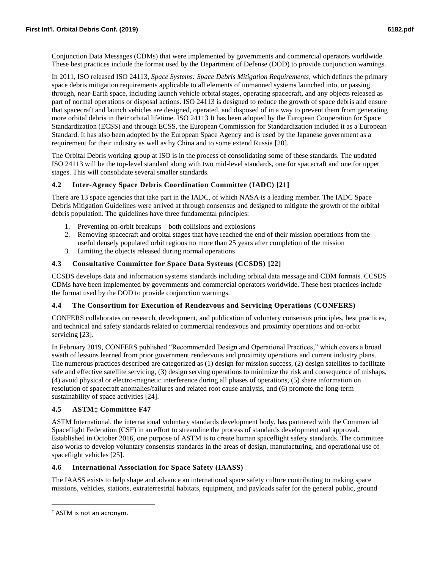Conjunction Data Messages (CDMs) that were implemented by governments and commercial operators worldwide. These best practices include the format used by the Department of Defense (DOD) to provide conjunction warnings.

In 2011, ISO released ISO 24113, *Space Systems: Space Debris Mitigation Requirements*, which defines the primary space debris mitigation requirements applicable to all elements of unmanned systems launched into, or passing through, near-Earth space, including launch vehicle orbital stages, operating spacecraft, and any objects released as part of normal operations or disposal actions. ISO 24113 is designed to reduce the growth of space debris and ensure that spacecraft and launch vehicles are designed, operated, and disposed of in a way to prevent them from generating more orbital debris in their orbital lifetime. ISO 24113 It has been adopted by the European Cooperation for Space Standardization (ECSS) and through ECSS, the European Commission for Standardization included it as a European Standard. It has also been adopted by the European Space Agency and is used by the Japanese government as a requirement for their industry as well as by China and to some extend Russia [20].

The Orbital Debris working group at ISO is in the process of consolidating some of these standards. The updated ISO 24113 will be the top-level standard along with two mid-level standards, one for spacecraft and one for upper stages. This will consolidate several smaller standards.

## **4.2 Inter-Agency Space Debris Coordination Committee (IADC) [21]**

There are 13 space agencies that take part in the IADC, of which NASA is a leading member. The IADC Space Debris Mitigation Guidelines were arrived at through consensus and designed to mitigate the growth of the orbital debris population. The guidelines have three fundamental principles:

- 1. Preventing on-orbit breakups—both collisions and explosions
- 2. Removing spacecraft and orbital stages that have reached the end of their mission operations from the useful densely populated orbit regions no more than 25 years after completion of the mission
- 3. Limiting the objects released during normal operations

## **4.3 Consultative Committee for Space Data Systems (CCSDS) [22]**

CCSDS develops data and information systems standards including orbital data message and CDM formats. CCSDS CDMs have been implemented by governments and commercial operators worldwide. These best practices include the format used by the DOD to provide conjunction warnings.

### **4.4 The Consortium for Execution of Rendezvous and Servicing Operations (CONFERS)**

CONFERS collaborates on research, development, and publication of voluntary consensus principles, best practices, and technical and safety standards related to commercial rendezvous and proximity operations and on-orbit servicing [23].

In February 2019, CONFERS published "Recommended Design and Operational Practices," which covers a broad swath of lessons learned from prior government rendezvous and proximity operations and current industry plans. The numerous practices described are categorized as (1) design for mission success, (2) design satellites to facilitate safe and effective satellite servicing, (3) design serving operations to minimize the risk and consequence of mishaps, (4) avoid physical or electro-magnetic interference during all phases of operations, (5) share information on resolution of spacecraft anomalies/failures and related root cause analysis, and (6) promote the long-term sustainability of space activities [24].

### **4.5 ASTM‡ Committee F47**

ASTM International, the international voluntary standards development body, has partnered with the Commercial Spaceflight Federation (CSF) in an effort to streamline the process of standards development and approval. Established in October 2016, one purpose of ASTM is to create human spaceflight safety standards. The committee also works to develop voluntary consensus standards in the areas of design, manufacturing, and operational use of spaceflight vehicles [25].

### **4.6 International Association for Space Safety (IAASS)**

The IAASS exists to help shape and advance an international space safety culture contributing to making space missions, vehicles, stations, extraterrestrial habitats, equipment, and payloads safer for the general public, ground

 $\overline{\phantom{a}}$ 

<sup>‡</sup> ASTM is not an acronym.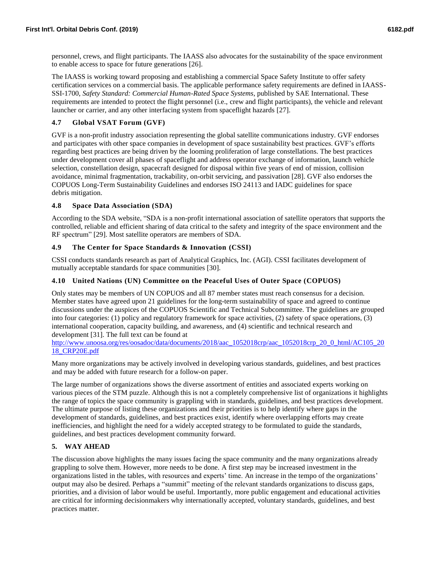personnel, crews, and flight participants. The IAASS also advocates for the sustainability of the space environment to enable access to space for future generations [26].

The IAASS is working toward proposing and establishing a commercial Space Safety Institute to offer safety certification services on a commercial basis. The applicable performance safety requirements are defined in IAASS-SSI-1700, *Safety Standard: Commercial Human-Rated Space Systems*, published by SAE International. These requirements are intended to protect the flight personnel (i.e., crew and flight participants), the vehicle and relevant launcher or carrier, and any other interfacing system from spaceflight hazards [27].

## **4.7 Global VSAT Forum (GVF)**

GVF is a non-profit industry association representing the global satellite communications industry. GVF endorses and participates with other space companies in development of space sustainability best practices. GVF's efforts regarding best practices are being driven by the looming proliferation of large constellations. The best practices under development cover all phases of spaceflight and address operator exchange of information, launch vehicle selection, constellation design, spacecraft designed for disposal within five years of end of mission, collision avoidance, minimal fragmentation, trackability, on-orbit servicing, and passivation [28]. GVF also endorses the COPUOS Long-Term Sustainability Guidelines and endorses ISO 24113 and IADC guidelines for space debris mitigation.

### **4.8 Space Data Association (SDA)**

According to the SDA website, "SDA is a non-profit international association of satellite operators that supports the controlled, reliable and efficient sharing of data critical to the safety and integrity of the space environment and the RF spectrum" [29]. Most satellite operators are members of SDA.

## **4.9 The Center for Space Standards & Innovation (CSSI)**

CSSI conducts standards research as part of Analytical Graphics, Inc. (AGI). CSSI facilitates development of mutually acceptable standards for space communities [30].

## **4.10 United Nations (UN) Committee on the Peaceful Uses of Outer Space (COPUOS)**

Only states may be members of UN COPUOS and all 87 member states must reach consensus for a decision. Member states have agreed upon 21 guidelines for the long-term sustainability of space and agreed to continue discussions under the auspices of the COPUOS Scientific and Technical Subcommittee. The guidelines are grouped into four categories: (1) policy and regulatory framework for space activities, (2) safety of space operations, (3) international cooperation, capacity building, and awareness, and (4) scientific and technical research and development [31]. The full text can be found at

[http://www.unoosa.org/res/oosadoc/data/documents/2018/aac\\_1052018crp/aac\\_1052018crp\\_20\\_0\\_html/AC105\\_20](http://www.unoosa.org/res/oosadoc/data/documents/2018/aac_1052018crp/aac_1052018crp_20_0_html/AC105_2018_CRP20E.pdf) [18\\_CRP20E.pdf](http://www.unoosa.org/res/oosadoc/data/documents/2018/aac_1052018crp/aac_1052018crp_20_0_html/AC105_2018_CRP20E.pdf)

Many more organizations may be actively involved in developing various standards, guidelines, and best practices and may be added with future research for a follow-on paper.

The large number of organizations shows the diverse assortment of entities and associated experts working on various pieces of the STM puzzle. Although this is not a completely comprehensive list of organizations it highlights the range of topics the space community is grappling with in standards, guidelines, and best practices development. The ultimate purpose of listing these organizations and their priorities is to help identify where gaps in the development of standards, guidelines, and best practices exist, identify where overlapping efforts may create inefficiencies, and highlight the need for a widely accepted strategy to be formulated to guide the standards, guidelines, and best practices development community forward.

## **5. WAY AHEAD**

The discussion above highlights the many issues facing the space community and the many organizations already grappling to solve them. However, more needs to be done. A first step may be increased investment in the organizations listed in the tables, with resources and experts' time. An increase in the tempo of the organizations' output may also be desired. Perhaps a "summit" meeting of the relevant standards organizations to discuss gaps, priorities, and a division of labor would be useful. Importantly, more public engagement and educational activities are critical for informing decisionmakers why internationally accepted, voluntary standards, guidelines, and best practices matter.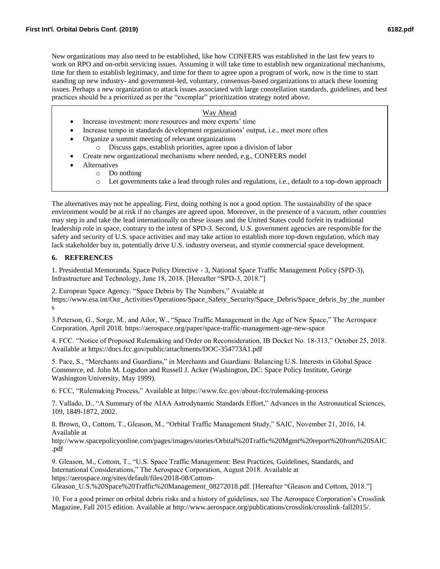New organizations may also need to be established, like how CONFERS was established in the last few years to work on RPO and on-orbit servicing issues. Assuming it will take time to establish new organizational mechanisms, time for them to establish legitimacy, and time for them to agree upon a program of work, now is the time to start standing up new industry- and government-led, voluntary, consensus-based organizations to attack these looming issues. Perhaps a new organization to attack issues associated with large constellation standards, guidelines, and best practices should be a prioritized as per the "exemplar" prioritization strategy noted above.

## Way Ahead

- Increase investment: more resources and more experts' time
- Increase tempo in standards development organizations' output, i.e., meet more often
- Organize a summit meeting of relevant organizations
	- o Discuss gaps, establish priorities, agree upon a division of labor
- Create new organizational mechanisms where needed, e.g., CONFERS model
- **Alternatives** 
	- o Do nothing
		- o Let governments take a lead through rules and regulations, i.e., default to a top-down approach

The alternatives may not be appealing. First, doing nothing is not a good option. The sustainability of the space environment would be at risk if no changes are agreed upon. Moreover, in the presence of a vacuum, other countries may step in and take the lead internationally on these issues and the United States could forfeit its traditional leadership role in space, contrary to the intent of SPD-3. Second, U.S. government agencies are responsible for the safety and security of U.S. space activities and may take action to establish more top-down regulation, which may lack stakeholder buy in, potentially drive U.S. industry overseas, and stymie commercial space development.

## **6. REFERENCES**

1. Presidential Memoranda, Space Policy Directive - 3, National Space Traffic Management Policy (SPD-3), Infrastructure and Technology, June 18, 2018. [Hereafter "SPD-3, 2018."]

2. European Space Agency. "Space Debris by The Numbers," Avaiable at https://www.esa.int/Our\_Activities/Operations/Space\_Safety\_Security/Space\_Debris/Space\_debris\_by\_the\_number s

3.Peterson, G., Sorge, M., and Ailor, W., "Space Traffic Management in the Age of New Space," The Aerospace Corporation, April 2018. https://aerospace.org/paper/space-traffic-management-age-new-space

4. FCC. "Notice of Proposed Rulemaking and Order on Reconsideration, IB Docket No. 18-313," October 25, 2018. Available at https://docs.fcc.gov/public/attachments/DOC-354773A1.pdf

5. Pace, S., "Merchants and Guardians," in Merchants and Guardians: Balancing U.S. Interests in Global Space Commerce, ed. John M. Logsdon and Russell J. Acker (Washington, DC: Space Policy Institute, George Washington University, May 1999).

6. FCC, "Rulemaking Process," Available at https://www.fcc.gov/about-fcc/rulemaking-process

7. Vallado, D., "A Summary of the AIAA Astrodynamic Standards Effort," Advances in the Astronautical Sciences, 109, 1849-1872, 2002.

8. Brown, O., Cottom, T., Gleason, M., "Orbital Traffic Management Study," SAIC, November 21, 2016, 14. Available at

http://www.spacepolicyonline.com/pages/images/stories/Orbital%20Traffic%20Mgmt%20report%20from%20SAIC .pdf

9. Gleason, M., Cottom, T., "U.S. Space Traffic Management: Best Practices, Guidelines, Standards, and International Considerations," The Aerospace Corporation, August 2018. Available at https://aerospace.org/sites/default/files/2018-08/Cottom-

Gleason\_U.S.%20Space%20Traffic%20Management\_08272018.pdf. [Hereafter "Gleason and Cottom, 2018."]

10. For a good primer on orbital debris risks and a history of guidelines, see The Aerospace Corporation's Crosslink Magazine, Fall 2015 edition. Available at http://www.aerospace.org/publications/crosslink/crosslink-fall2015/.